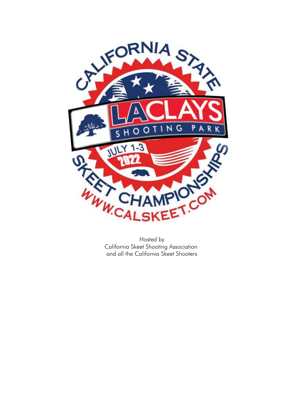

California Skeet Shooting Association and all the California Skeet Shooters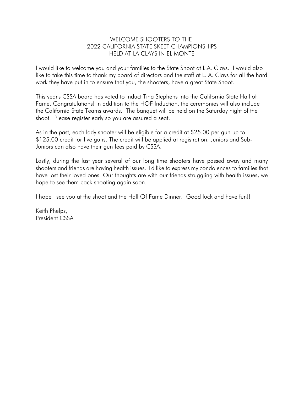#### WELCOME SHOOTERS TO THE 2022 CALIFORNIA STATE SKEET CHAMPIONSHIPS HELD AT LA CLAYS IN EL MONTE

I would like to welcome you and your families to the State Shoot at L.A. Clays. I would also like to take this time to thank my board of directors and the staff at L. A. Clays for all the hard work they have put in to ensure that you, the shooters, have a great State Shoot.

This year's CSSA board has voted to induct Tina Stephens into the California State Hall of Fame. Congratulations! In addition to the HOF Induction, the ceremonies will also include the California State Teams awards. The banquet will be held on the Saturday night of the shoot. Please register early so you are assured a seat.

As in the past, each lady shooter will be eligible for a credit at \$25.00 per gun up to \$125.00 credit for five guns. The credit will be applied at registration. Juniors and Sub-Juniors can also have their gun fees paid by CSSA.

Lastly, during the last year several of our long time shooters have passed away and many shooters and friends are having health issues. I'd like to express my condolences to families that have lost their loved ones. Our thoughts are with our friends struggling with health issues, we hope to see them back shooting again soon.

I hope I see you at the shoot and the Hall Of Fame Dinner. Good luck and have fun!!

Keith Phelps, President CSSA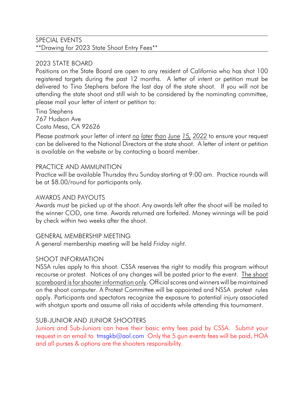## SPECIAL EVENTS \*\*Drawing for 2023 State Shoot Entry Fees\*\*

# 2023 STATE BOARD

Positions on the State Board are open to any resident of California who has shot 100 registered targets during the past 12 months. A letter of intent or petition must be delivered to Tina Stephens before the last day of the state shoot. If you will not be attending the state shoot and still wish to be considered by the nominating committee, please mail your letter of intent or petition to:

Tina Stephens 767 Hudson Ave Costa Mesa, CA 92626

Please postmark your letter of intent *no later than June 15, 2022* to ensure your request can be delivered to the National Directors at the state shoot. A letter of intent or petition is available on the website or by contacting a board member.

#### PRACTICE AND AMMUNITION

Practice will be available Thursday thru Sunday starting at 9:00 am. Practice rounds will be at \$8.00/round for participants only.

#### AWARDS AND PAYOUTS

Awards must be picked up at the shoot. Any awards left after the shoot will be mailed to the winner COD, one time. Awards returned are forfeited. Money winnings will be paid by check within two weeks after the shoot.

#### GENERAL MEMBERSHIP MEETING

A general membership meeting will be held *Friday night*.

### SHOOT INFORMATION

NSSA rules apply to this shoot. CSSA reserves the right to modify this program without recourse or protest. Notices of any changes will be posted prior to the event. The shoot scoreboard is for shooter information only. Official scores and winners will be maintained on the shoot computer. A Protest Committee will be appointed and NSSA protest rules apply. Participants and spectators recognize the exposure to potential injury associated with shotgun sports and assume all risks of accidents while attending this tournament.

### SUB-JUNIOR AND JUNIOR SHOOTERS

Juniors and Sub-Juniors can have their basic entry fees paid by CSSA. Submit your request in an email to [tmsgkb@aol.com](mailto:tmsgkb@aol.com) Only the 5 gun events fees will be paid, HOA and all purses & options are the shooters responsibility.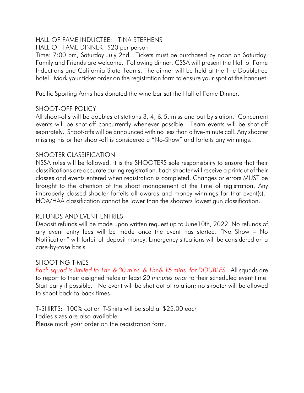# HALL OF FAME INDUCTEE: TINA STEPHENS

HALL OF FAME DINNER \$20 per person

Time: 7:00 pm, Saturday July 2nd. Tickets must be purchased by noon on Saturday. Family and Friends are welcome. Following dinner, CSSA will present the Hall of Fame Inductions and California State Teams. The dinner will be held at the The Doubletree hotel. Mark your ticket order on the registration form to ensure your spot at the banquet.

Pacific Sporting Arms has donated the wine bar sat the Hall of Fame Dinner.

### SHOOT-OFF POLICY

All shoot-offs will be doubles at stations 3, 4, & 5, miss and out by station. Concurrent events will be shot-off concurrently whenever possible. Team events will be shot-off separately. Shoot-offs will be announced with no less than a five-minute call. Any shooter missing his or her shoot-off is considered a "No-Show" and forfeits any winnings.

### SHOOTER CLASSIFICATION

NSSA rules will be followed. It is the SHOOTERS sole responsibility to ensure that their classifications are accurate during registration. Each shooter will receive a printout of their classes and events entered when registration is completed. Changes or errors MUST be brought to the attention of the shoot management at the time of registration. Any improperly classed shooter forfeits all awards and money winnings for that event(s). HOA/HAA classification cannot be lower than the shooters lowest gun classification.

### REFUNDS AND EVENT ENTRIES

Deposit refunds will be made upon written request up to June10th, 2022. No refunds of any event entry fees will be made once the event has started. "No Show – No Notification" will forfeit all deposit money. Emergency situations will be considered on a case-by-case basis.

### SHOOTING TIMES

*Each squad is limited to 1hr. & 30 mins. & 1hr & 15 mins. for DOUBLES.* All squads are to report to their assigned fields at least *20 minutes prior* to their scheduled event time. Start early if possible. No event will be shot out of rotation; no shooter will be allowed to shoot back-to-back times.

T-SHIRTS: 100% cotton T-Shirts will be sold at \$25.00 each Ladies sizes are also available Please mark your order on the registration form.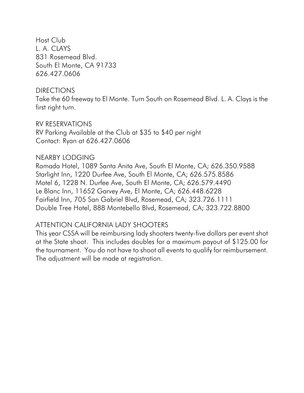Host Club L. A. CLAYS 831 Rosemead Blvd. South El Monte, CA 91733 626.427.0606

#### DIRECTIONS

Take the 60 freeway to El Monte. Turn South on Rosemead Blvd. L. A. Clays is the first right turn.

## RV RESERVATIONS

RV Parking Available at the Club at \$35 to \$40 per night Contact: Ryan at 626.427.0606

## NEARBY LODGING

Ramada Hotel, 1089 Santa Anita Ave, South El Monte, CA; 626.350.9588 Starlight Inn, 1220 Durfee Ave, South El Monte, CA; 626.575.8586 Motel 6, 1228 N. Durfee Ave, South El Monte, CA; 626.579.4490 Le Blanc Inn, 11652 Garvey Ave, El Monte, CA; 626.448.6228 Fairfield Inn, 705 San Gabriel Blvd, Rosemead, CA; 323.726.1111 Double Tree Hotel, 888 Montebello Blvd, Rosemead, CA; 323.722.8800

# ATTENTION CALIFORNIA LADY SHOOTERS

This year CSSA will be reimbursing lady shooters twenty-five dollars per event shot at the State shoot. This includes doubles for a maximum payout of \$125.00 for the tournament. You do not have to shoot all events to qualify for reimbursement. The adjustment will be made at registration.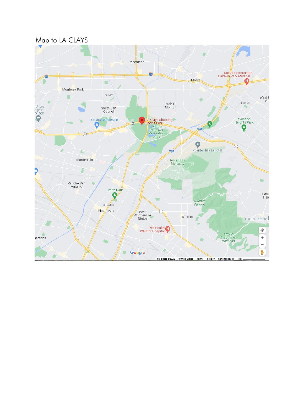Map to LA CLAYS

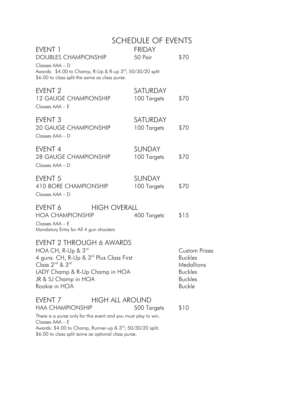|                                                                                                                                                                                                                                                                     |                     | <b>SCHEDULE OF EVENTS</b>    |                                                                                                           |
|---------------------------------------------------------------------------------------------------------------------------------------------------------------------------------------------------------------------------------------------------------------------|---------------------|------------------------------|-----------------------------------------------------------------------------------------------------------|
| EVENT <sub>1</sub><br>DOUBLES CHAMPIONSHIP<br>Classes AAA - D                                                                                                                                                                                                       |                     | <b>FRIDAY</b><br>50 Pair     | \$70                                                                                                      |
| Awards: \$4.00 to Champ, R-Up & R-up 3 <sup>rd</sup> ; 50/30/20 split<br>\$6.00 to class split the same as class purse.                                                                                                                                             |                     |                              |                                                                                                           |
| EVENT <sub>2</sub><br><b>12 GAUGE CHAMPIONSHIP</b><br>Classes AAA - E                                                                                                                                                                                               |                     | SATURDAY<br>100 Targets      | \$70                                                                                                      |
| EVENT <sub>3</sub><br><b>20 GAUGE CHAMPIONSHIP</b><br>Classes AAA - D                                                                                                                                                                                               |                     | SATURDAY<br>100 Targets      | \$70                                                                                                      |
| EVENT <sub>4</sub><br><b>28 GAUGE CHAMPIONSHIP</b><br>Classes AAA - D                                                                                                                                                                                               |                     | <b>SUNDAY</b><br>100 Targets | \$70                                                                                                      |
| EVENT <sub>5</sub><br>410 BORE CHAMPIONSHIP<br>Classes AAA - D                                                                                                                                                                                                      |                     | <b>SUNDAY</b><br>100 Targets | \$70                                                                                                      |
| EVENT 6<br><b>HOA CHAMPIONSHIP</b><br>Classes AAA - E<br>Mandatory Entry for All 4 gun shooters                                                                                                                                                                     | <b>HIGH OVERALL</b> | 400 Targets                  | \$15                                                                                                      |
| EVENT 2 THROUGH 6 AWARDS<br>HOA CH, R-Up $\&$ 3 <sup>rd</sup><br>4 guns CH, R-Up & 3 <sup>rd</sup> Plus Class First<br>Class 2 <sup>nd</sup> & 3 <sup>rd</sup><br>LADY Champ & R-Up Champ in HOA<br>JR & SJ Champ in HOA<br>Rookie in HOA                           |                     |                              | <b>Custom Prizes</b><br><b>Buckles</b><br>Medallions<br><b>Buckles</b><br><b>Buckles</b><br><b>Buckle</b> |
| EVENT <sub>7</sub><br><b>HAA CHAMPIONSHIP</b><br>There is a purse only for this event and you must play to win.<br>Classes AAA - E<br>Awards: \$4.00 to Champ, Runner-up & 3 <sup>rd</sup> ; 50/30/20 split.<br>\$6.00 to class split same as optional class purse. | HIGH ALL AROUND     | 500 Targets                  | \$10                                                                                                      |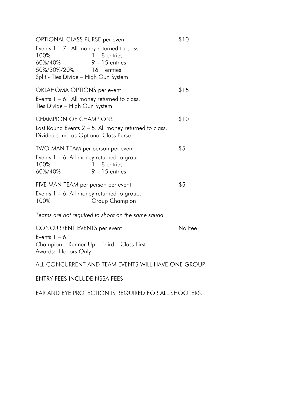| OPTIONAL CLASS PURSE per event                                                                                                                                                   | \$10   |
|----------------------------------------------------------------------------------------------------------------------------------------------------------------------------------|--------|
| Events $1 - 7$ . All money returned to class.<br>$1 - 8$ entries<br>100%<br>$9 - 15$ entries<br>60%/40%<br>50%/30%/20%<br>$16+$ entries<br>Split - Ties Divide - High Gun System |        |
| OKLAHOMA OPTIONS per event                                                                                                                                                       | \$15   |
| Events $1 - 6$ . All money returned to class.<br>Ties Divide - High Gun System                                                                                                   |        |
| <b>CHAMPION OF CHAMPIONS</b>                                                                                                                                                     | \$10   |
| Last Round Events $2 - 5$ . All money returned to class.<br>Divided same as Optional Class Purse.                                                                                |        |
| TWO MAN TEAM per person per event                                                                                                                                                | \$5    |
| Events $1 - 6$ . All money returned to group.<br>100%<br>$1 - 8$ entries<br>60%/40%<br>$9 - 15$ entries                                                                          |        |
| FIVE MAN TEAM per person per event                                                                                                                                               | \$5    |
| Events $1 - 6$ . All money returned to group.<br>100%<br>Group Champion                                                                                                          |        |
| Teams are not required to shoot on the same squad.                                                                                                                               |        |
| <b>CONCURRENT EVENTS per event</b>                                                                                                                                               | No Fee |
| Events $1 - 6$ .<br>Champion - Runner-Up - Third - Class First<br>Awards: Honors Only                                                                                            |        |
| ALL CONCURRENT AND TEAM EVENTS WILL HAVE ONE GROUP.                                                                                                                              |        |
| ENTRY FEES INCLUDE NSSA FEES.                                                                                                                                                    |        |

EAR AND EYE PROTECTION IS REQUIRED FOR ALL SHOOTERS.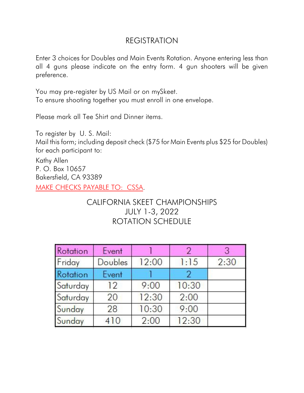# REGISTRATION

Enter 3 choices for Doubles and Main Events Rotation. Anyone entering less than all 4 guns please indicate on the entry form. 4 gun shooters will be given preference.

You may pre-register by US Mail or on mySkeet. To ensure shooting together you must enroll in one envelope.

Please mark all Tee Shirt and Dinner items.

To register by U. S. Mail:

Mail this form; including deposit check (\$75 for Main Events plus \$25 for Doubles) for each participant to:

Kathy Allen P. O. Box 10657 Bakersfield, CA 93389 MAKE CHECKS PAYABLE TO: CSSA.

# CALIFORNIA SKEET CHAMPIONSHIPS JULY 1-3, 2022 ROTATION SCHEDULE

| Rotation | Event          |       | 2     | 3    |
|----------|----------------|-------|-------|------|
| Friday   | <b>Doubles</b> | 12:00 | 1:15  | 2:30 |
| Rotation | Event          |       |       |      |
| Saturday | 12             | 9:00  | 10:30 |      |
| Saturday | 20             | 12:30 | 2:00  |      |
| Sunday   | 28             | 10:30 | 9:00  |      |
| Sunday   | 410            | 2:00  | 12:30 |      |